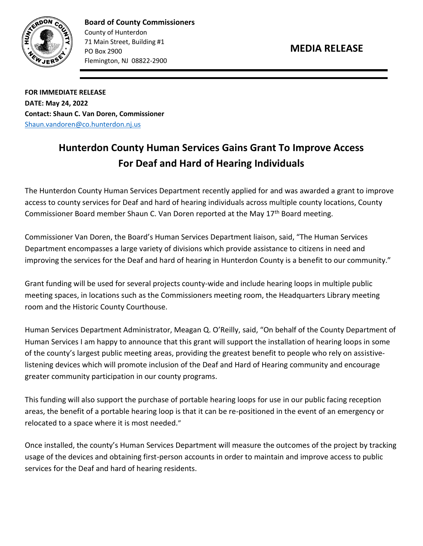

**Board of County Commissioners** County of Hunterdon 71 Main Street, Building #1 PO Box 2900 Flemington, NJ 08822-2900

**FOR IMMEDIATE RELEASE DATE: May 24, 2022 Contact: Shaun C. Van Doren, Commissioner** [Shaun.vandoren@co.hunterdon.nj.us](mailto:Shaun.vandoren@co.hunterdon.nj.us)

## **Hunterdon County Human Services Gains Grant To Improve Access For Deaf and Hard of Hearing Individuals**

The Hunterdon County Human Services Department recently applied for and was awarded a grant to improve access to county services for Deaf and hard of hearing individuals across multiple county locations, County Commissioner Board member Shaun C. Van Doren reported at the May  $17<sup>th</sup>$  Board meeting.

Commissioner Van Doren, the Board's Human Services Department liaison, said, "The Human Services Department encompasses a large variety of divisions which provide assistance to citizens in need and improving the services for the Deaf and hard of hearing in Hunterdon County is a benefit to our community."

Grant funding will be used for several projects county-wide and include hearing loops in multiple public meeting spaces, in locations such as the Commissioners meeting room, the Headquarters Library meeting room and the Historic County Courthouse.

Human Services Department Administrator, Meagan Q. O'Reilly, said, "On behalf of the County Department of Human Services I am happy to announce that this grant will support the installation of hearing loops in some of the county's largest public meeting areas, providing the greatest benefit to people who rely on assistivelistening devices which will promote inclusion of the Deaf and Hard of Hearing community and encourage greater community participation in our county programs.

This funding will also support the purchase of portable hearing loops for use in our public facing reception areas, the benefit of a portable hearing loop is that it can be re-positioned in the event of an emergency or relocated to a space where it is most needed."

Once installed, the county's Human Services Department will measure the outcomes of the project by tracking usage of the devices and obtaining first-person accounts in order to maintain and improve access to public services for the Deaf and hard of hearing residents.